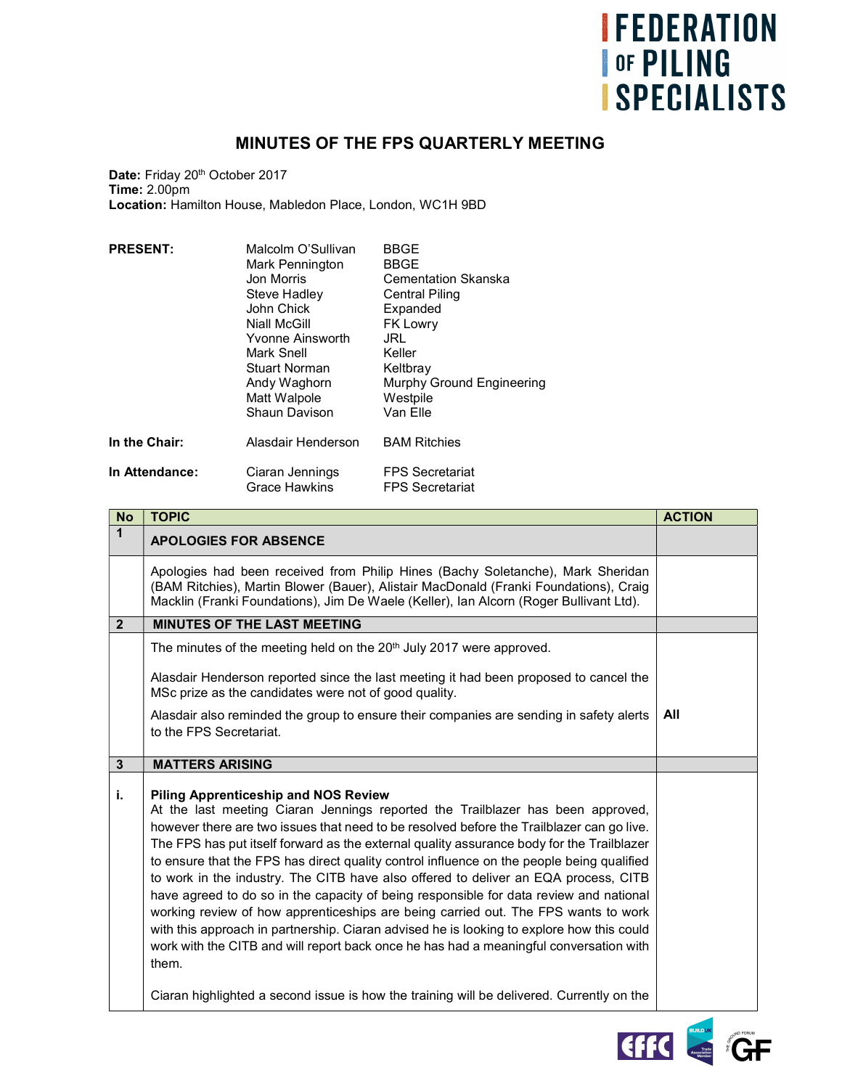## **IFEDERATION OF PILING ISPECIALISTS**

## MINUTES OF THE FPS QUARTERLY MEETING

Date: Friday 20<sup>th</sup> October 2017 Time: 2.00pm Location: Hamilton House, Mabledon Place, London, WC1H 9BD

| <b>PRESENT:</b> | Malcolm O'Sullivan<br>Mark Pennington<br>Jon Morris<br>Steve Hadley<br>John Chick<br>Niall McGill<br>Yvonne Ainsworth<br>Mark Snell<br>Stuart Norman<br>Andy Waghorn<br>Matt Walpole<br>Shaun Davison | BBGE<br><b>BBGE</b><br>Cementation Skanska<br>Central Piling<br>Expanded<br><b>FK Lowry</b><br>JRL<br>Keller<br>Keltbray<br>Murphy Ground Engineering<br>Westpile<br>Van Elle |
|-----------------|-------------------------------------------------------------------------------------------------------------------------------------------------------------------------------------------------------|-------------------------------------------------------------------------------------------------------------------------------------------------------------------------------|
| In the Chair:   | Alasdair Henderson                                                                                                                                                                                    | <b>BAM Ritchies</b>                                                                                                                                                           |
| In Attendance:  | Ciaran Jennings<br><b>Grace Hawkins</b>                                                                                                                                                               | <b>FPS Secretariat</b><br><b>FPS Secretariat</b>                                                                                                                              |

| <b>No</b>      | <b>TOPIC</b>                                                                                                                                                                                                                                                                                                                                                                                                                                                                                                                                                                                                                                                                                                                                                                                                                                                                                 | <b>ACTION</b> |
|----------------|----------------------------------------------------------------------------------------------------------------------------------------------------------------------------------------------------------------------------------------------------------------------------------------------------------------------------------------------------------------------------------------------------------------------------------------------------------------------------------------------------------------------------------------------------------------------------------------------------------------------------------------------------------------------------------------------------------------------------------------------------------------------------------------------------------------------------------------------------------------------------------------------|---------------|
| $\mathbf 1$    | <b>APOLOGIES FOR ABSENCE</b>                                                                                                                                                                                                                                                                                                                                                                                                                                                                                                                                                                                                                                                                                                                                                                                                                                                                 |               |
|                | Apologies had been received from Philip Hines (Bachy Soletanche), Mark Sheridan<br>(BAM Ritchies), Martin Blower (Bauer), Alistair MacDonald (Franki Foundations), Craig<br>Macklin (Franki Foundations), Jim De Waele (Keller), Ian Alcorn (Roger Bullivant Ltd).                                                                                                                                                                                                                                                                                                                                                                                                                                                                                                                                                                                                                           |               |
| $\overline{2}$ | <b>MINUTES OF THE LAST MEETING</b>                                                                                                                                                                                                                                                                                                                                                                                                                                                                                                                                                                                                                                                                                                                                                                                                                                                           |               |
|                | The minutes of the meeting held on the 20 <sup>th</sup> July 2017 were approved.                                                                                                                                                                                                                                                                                                                                                                                                                                                                                                                                                                                                                                                                                                                                                                                                             |               |
|                | Alasdair Henderson reported since the last meeting it had been proposed to cancel the<br>MSc prize as the candidates were not of good quality.                                                                                                                                                                                                                                                                                                                                                                                                                                                                                                                                                                                                                                                                                                                                               |               |
|                | Alasdair also reminded the group to ensure their companies are sending in safety alerts<br>to the FPS Secretariat.                                                                                                                                                                                                                                                                                                                                                                                                                                                                                                                                                                                                                                                                                                                                                                           | All           |
| $\mathbf{3}$   | <b>MATTERS ARISING</b>                                                                                                                                                                                                                                                                                                                                                                                                                                                                                                                                                                                                                                                                                                                                                                                                                                                                       |               |
| j.             | <b>Piling Apprenticeship and NOS Review</b><br>At the last meeting Ciaran Jennings reported the Trailblazer has been approved,<br>however there are two issues that need to be resolved before the Trailblazer can go live.<br>The FPS has put itself forward as the external quality assurance body for the Trailblazer<br>to ensure that the FPS has direct quality control influence on the people being qualified<br>to work in the industry. The CITB have also offered to deliver an EQA process, CITB<br>have agreed to do so in the capacity of being responsible for data review and national<br>working review of how apprenticeships are being carried out. The FPS wants to work<br>with this approach in partnership. Ciaran advised he is looking to explore how this could<br>work with the CITB and will report back once he has had a meaningful conversation with<br>them. |               |
|                | Ciaran highlighted a second issue is how the training will be delivered. Currently on the                                                                                                                                                                                                                                                                                                                                                                                                                                                                                                                                                                                                                                                                                                                                                                                                    |               |

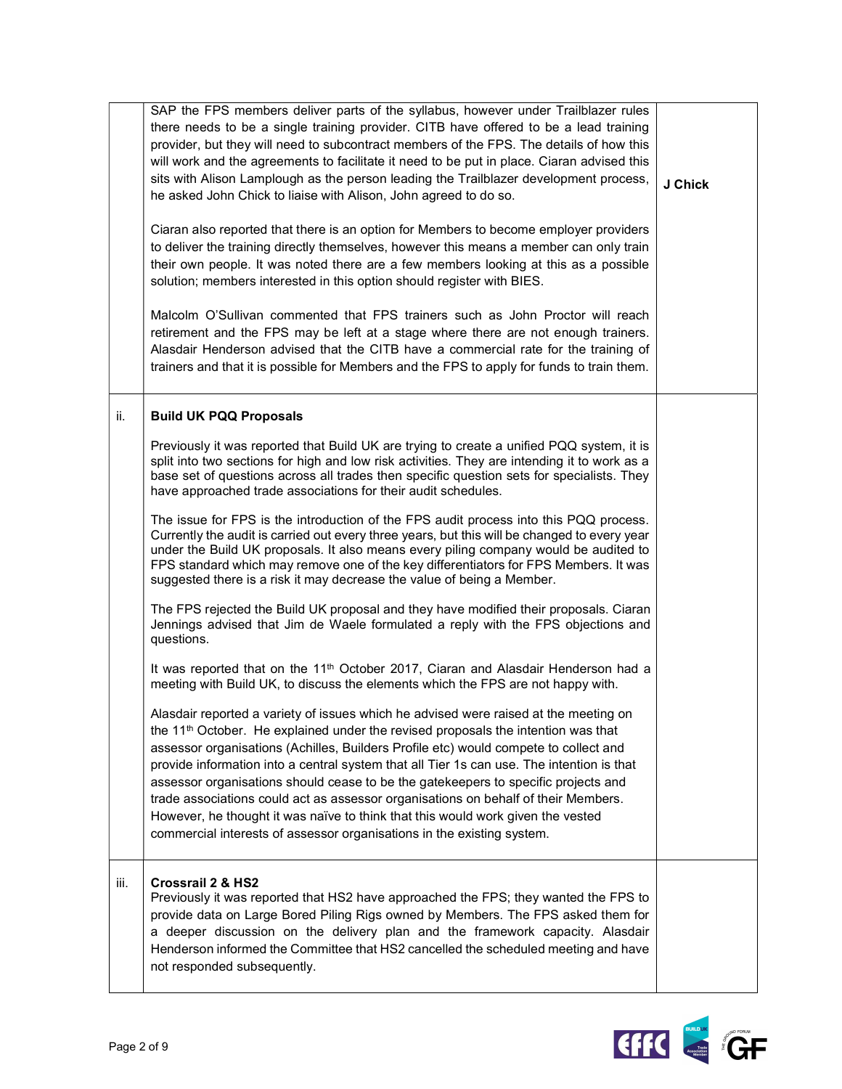|      | SAP the FPS members deliver parts of the syllabus, however under Trailblazer rules<br>there needs to be a single training provider. CITB have offered to be a lead training<br>provider, but they will need to subcontract members of the FPS. The details of how this<br>will work and the agreements to facilitate it need to be put in place. Ciaran advised this<br>sits with Alison Lamplough as the person leading the Trailblazer development process,<br>he asked John Chick to liaise with Alison, John agreed to do so.<br>Ciaran also reported that there is an option for Members to become employer providers<br>to deliver the training directly themselves, however this means a member can only train<br>their own people. It was noted there are a few members looking at this as a possible<br>solution; members interested in this option should register with BIES.<br>Malcolm O'Sullivan commented that FPS trainers such as John Proctor will reach | J Chick |
|------|---------------------------------------------------------------------------------------------------------------------------------------------------------------------------------------------------------------------------------------------------------------------------------------------------------------------------------------------------------------------------------------------------------------------------------------------------------------------------------------------------------------------------------------------------------------------------------------------------------------------------------------------------------------------------------------------------------------------------------------------------------------------------------------------------------------------------------------------------------------------------------------------------------------------------------------------------------------------------|---------|
|      | retirement and the FPS may be left at a stage where there are not enough trainers.<br>Alasdair Henderson advised that the CITB have a commercial rate for the training of<br>trainers and that it is possible for Members and the FPS to apply for funds to train them.                                                                                                                                                                                                                                                                                                                                                                                                                                                                                                                                                                                                                                                                                                   |         |
| ii.  | <b>Build UK PQQ Proposals</b>                                                                                                                                                                                                                                                                                                                                                                                                                                                                                                                                                                                                                                                                                                                                                                                                                                                                                                                                             |         |
|      | Previously it was reported that Build UK are trying to create a unified PQQ system, it is<br>split into two sections for high and low risk activities. They are intending it to work as a<br>base set of questions across all trades then specific question sets for specialists. They<br>have approached trade associations for their audit schedules.                                                                                                                                                                                                                                                                                                                                                                                                                                                                                                                                                                                                                   |         |
|      | The issue for FPS is the introduction of the FPS audit process into this PQQ process.<br>Currently the audit is carried out every three years, but this will be changed to every year<br>under the Build UK proposals. It also means every piling company would be audited to<br>FPS standard which may remove one of the key differentiators for FPS Members. It was<br>suggested there is a risk it may decrease the value of being a Member.                                                                                                                                                                                                                                                                                                                                                                                                                                                                                                                           |         |
|      | The FPS rejected the Build UK proposal and they have modified their proposals. Ciaran<br>Jennings advised that Jim de Waele formulated a reply with the FPS objections and<br>questions.                                                                                                                                                                                                                                                                                                                                                                                                                                                                                                                                                                                                                                                                                                                                                                                  |         |
|      | It was reported that on the 11 <sup>th</sup> October 2017, Ciaran and Alasdair Henderson had a<br>meeting with Build UK, to discuss the elements which the FPS are not happy with.                                                                                                                                                                                                                                                                                                                                                                                                                                                                                                                                                                                                                                                                                                                                                                                        |         |
|      | Alasdair reported a variety of issues which he advised were raised at the meeting on<br>the 11 <sup>th</sup> October. He explained under the revised proposals the intention was that<br>assessor organisations (Achilles, Builders Profile etc) would compete to collect and<br>provide information into a central system that all Tier 1s can use. The intention is that<br>assessor organisations should cease to be the gatekeepers to specific projects and<br>trade associations could act as assessor organisations on behalf of their Members.<br>However, he thought it was naïve to think that this would work given the vested<br>commercial interests of assessor organisations in the existing system.                                                                                                                                                                                                                                                       |         |
| iii. | <b>Crossrail 2 &amp; HS2</b><br>Previously it was reported that HS2 have approached the FPS; they wanted the FPS to<br>provide data on Large Bored Piling Rigs owned by Members. The FPS asked them for<br>a deeper discussion on the delivery plan and the framework capacity. Alasdair<br>Henderson informed the Committee that HS2 cancelled the scheduled meeting and have<br>not responded subsequently.                                                                                                                                                                                                                                                                                                                                                                                                                                                                                                                                                             |         |

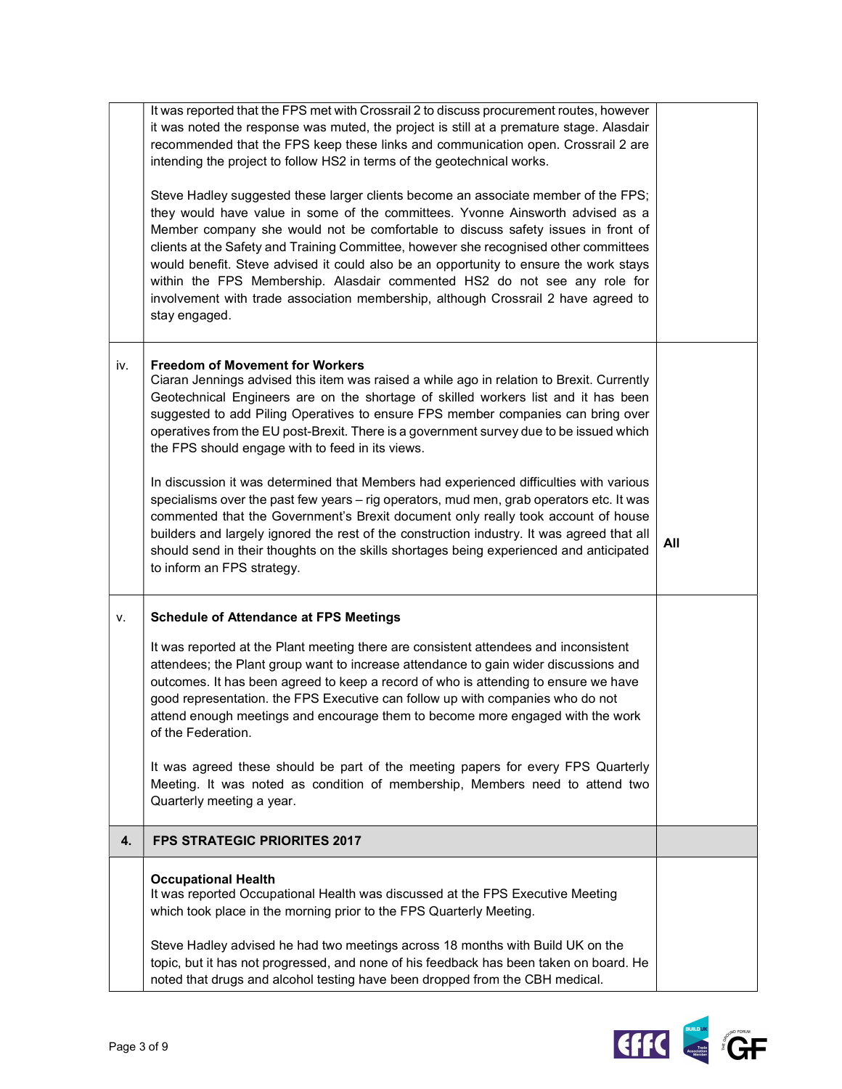|     | It was reported that the FPS met with Crossrail 2 to discuss procurement routes, however<br>it was noted the response was muted, the project is still at a premature stage. Alasdair<br>recommended that the FPS keep these links and communication open. Crossrail 2 are<br>intending the project to follow HS2 in terms of the geotechnical works.<br>Steve Hadley suggested these larger clients become an associate member of the FPS;<br>they would have value in some of the committees. Yvonne Ainsworth advised as a<br>Member company she would not be comfortable to discuss safety issues in front of<br>clients at the Safety and Training Committee, however she recognised other committees<br>would benefit. Steve advised it could also be an opportunity to ensure the work stays<br>within the FPS Membership. Alasdair commented HS2 do not see any role for<br>involvement with trade association membership, although Crossrail 2 have agreed to<br>stay engaged. |     |
|-----|----------------------------------------------------------------------------------------------------------------------------------------------------------------------------------------------------------------------------------------------------------------------------------------------------------------------------------------------------------------------------------------------------------------------------------------------------------------------------------------------------------------------------------------------------------------------------------------------------------------------------------------------------------------------------------------------------------------------------------------------------------------------------------------------------------------------------------------------------------------------------------------------------------------------------------------------------------------------------------------|-----|
| iv. | <b>Freedom of Movement for Workers</b><br>Ciaran Jennings advised this item was raised a while ago in relation to Brexit. Currently<br>Geotechnical Engineers are on the shortage of skilled workers list and it has been<br>suggested to add Piling Operatives to ensure FPS member companies can bring over<br>operatives from the EU post-Brexit. There is a government survey due to be issued which<br>the FPS should engage with to feed in its views.<br>In discussion it was determined that Members had experienced difficulties with various<br>specialisms over the past few years - rig operators, mud men, grab operators etc. It was<br>commented that the Government's Brexit document only really took account of house<br>builders and largely ignored the rest of the construction industry. It was agreed that all<br>should send in their thoughts on the skills shortages being experienced and anticipated<br>to inform an FPS strategy.                         | All |
| ۷.  | <b>Schedule of Attendance at FPS Meetings</b><br>It was reported at the Plant meeting there are consistent attendees and inconsistent<br>attendees; the Plant group want to increase attendance to gain wider discussions and<br>outcomes. It has been agreed to keep a record of who is attending to ensure we have<br>good representation. the FPS Executive can follow up with companies who do not<br>attend enough meetings and encourage them to become more engaged with the work<br>of the Federation.<br>It was agreed these should be part of the meeting papers for every FPS Quarterly<br>Meeting. It was noted as condition of membership, Members need to attend two<br>Quarterly meeting a year.                                                                                                                                                                                                                                                                        |     |
| 4.  | <b>FPS STRATEGIC PRIORITES 2017</b>                                                                                                                                                                                                                                                                                                                                                                                                                                                                                                                                                                                                                                                                                                                                                                                                                                                                                                                                                    |     |
|     | <b>Occupational Health</b><br>It was reported Occupational Health was discussed at the FPS Executive Meeting<br>which took place in the morning prior to the FPS Quarterly Meeting.<br>Steve Hadley advised he had two meetings across 18 months with Build UK on the<br>topic, but it has not progressed, and none of his feedback has been taken on board. He<br>noted that drugs and alcohol testing have been dropped from the CBH medical.                                                                                                                                                                                                                                                                                                                                                                                                                                                                                                                                        |     |

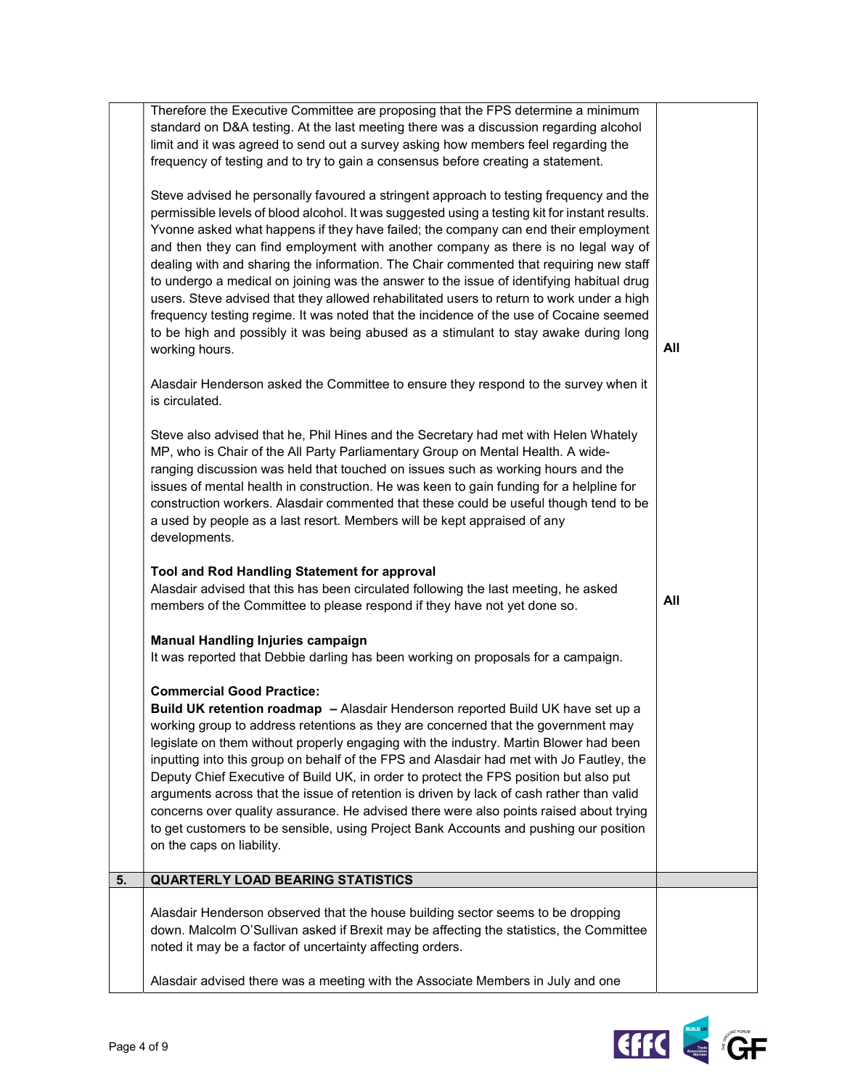|    | standard on D&A testing. At the last meeting there was a discussion regarding alcohol<br>limit and it was agreed to send out a survey asking how members feel regarding the<br>frequency of testing and to try to gain a consensus before creating a statement.<br>Steve advised he personally favoured a stringent approach to testing frequency and the<br>permissible levels of blood alcohol. It was suggested using a testing kit for instant results.<br>Yvonne asked what happens if they have failed; the company can end their employment<br>and then they can find employment with another company as there is no legal way of<br>dealing with and sharing the information. The Chair commented that requiring new staff<br>to undergo a medical on joining was the answer to the issue of identifying habitual drug<br>users. Steve advised that they allowed rehabilitated users to return to work under a high<br>frequency testing regime. It was noted that the incidence of the use of Cocaine seemed<br>to be high and possibly it was being abused as a stimulant to stay awake during long<br>working hours.<br>Alasdair Henderson asked the Committee to ensure they respond to the survey when it<br>is circulated.<br>Steve also advised that he, Phil Hines and the Secretary had met with Helen Whately<br>MP, who is Chair of the All Party Parliamentary Group on Mental Health. A wide-<br>ranging discussion was held that touched on issues such as working hours and the<br>issues of mental health in construction. He was keen to gain funding for a helpline for<br>construction workers. Alasdair commented that these could be useful though tend to be<br>a used by people as a last resort. Members will be kept appraised of any<br>developments. | All |
|----|-----------------------------------------------------------------------------------------------------------------------------------------------------------------------------------------------------------------------------------------------------------------------------------------------------------------------------------------------------------------------------------------------------------------------------------------------------------------------------------------------------------------------------------------------------------------------------------------------------------------------------------------------------------------------------------------------------------------------------------------------------------------------------------------------------------------------------------------------------------------------------------------------------------------------------------------------------------------------------------------------------------------------------------------------------------------------------------------------------------------------------------------------------------------------------------------------------------------------------------------------------------------------------------------------------------------------------------------------------------------------------------------------------------------------------------------------------------------------------------------------------------------------------------------------------------------------------------------------------------------------------------------------------------------------------------------------------------------------------------------------------------------------------------------|-----|
|    | Tool and Rod Handling Statement for approval<br>Alasdair advised that this has been circulated following the last meeting, he asked<br>members of the Committee to please respond if they have not yet done so.                                                                                                                                                                                                                                                                                                                                                                                                                                                                                                                                                                                                                                                                                                                                                                                                                                                                                                                                                                                                                                                                                                                                                                                                                                                                                                                                                                                                                                                                                                                                                                         | All |
|    | <b>Manual Handling Injuries campaign</b><br>It was reported that Debbie darling has been working on proposals for a campaign.<br><b>Commercial Good Practice:</b><br>Build UK retention roadmap - Alasdair Henderson reported Build UK have set up a<br>working group to address retentions as they are concerned that the government may<br>legislate on them without properly engaging with the industry. Martin Blower had been<br>inputting into this group on behalf of the FPS and Alasdair had met with Jo Fautley, the<br>Deputy Chief Executive of Build UK, in order to protect the FPS position but also put<br>arguments across that the issue of retention is driven by lack of cash rather than valid<br>concerns over quality assurance. He advised there were also points raised about trying<br>to get customers to be sensible, using Project Bank Accounts and pushing our position<br>on the caps on liability.<br><b>QUARTERLY LOAD BEARING STATISTICS</b>                                                                                                                                                                                                                                                                                                                                                                                                                                                                                                                                                                                                                                                                                                                                                                                                         |     |
| 5. |                                                                                                                                                                                                                                                                                                                                                                                                                                                                                                                                                                                                                                                                                                                                                                                                                                                                                                                                                                                                                                                                                                                                                                                                                                                                                                                                                                                                                                                                                                                                                                                                                                                                                                                                                                                         |     |
|    | Alasdair Henderson observed that the house building sector seems to be dropping<br>down. Malcolm O'Sullivan asked if Brexit may be affecting the statistics, the Committee<br>noted it may be a factor of uncertainty affecting orders.<br>Alasdair advised there was a meeting with the Associate Members in July and one                                                                                                                                                                                                                                                                                                                                                                                                                                                                                                                                                                                                                                                                                                                                                                                                                                                                                                                                                                                                                                                                                                                                                                                                                                                                                                                                                                                                                                                              |     |

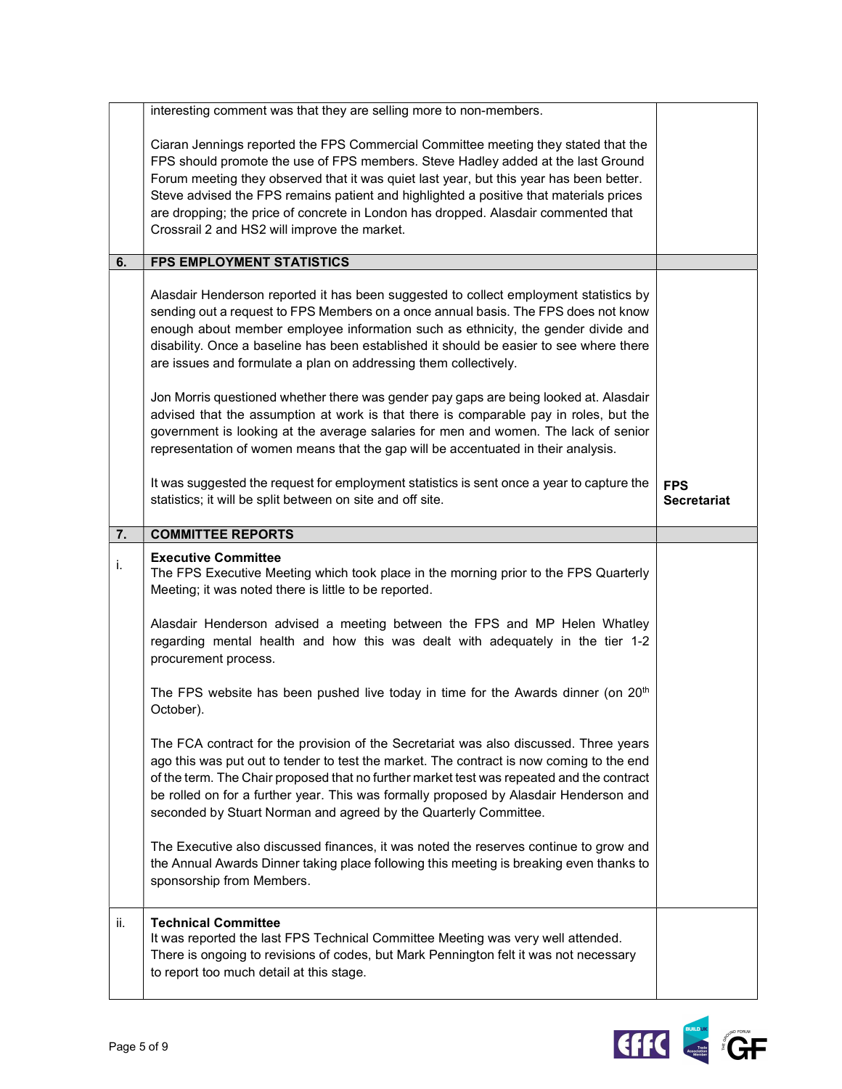|     | interesting comment was that they are selling more to non-members.<br>Ciaran Jennings reported the FPS Commercial Committee meeting they stated that the<br>FPS should promote the use of FPS members. Steve Hadley added at the last Ground<br>Forum meeting they observed that it was quiet last year, but this year has been better.<br>Steve advised the FPS remains patient and highlighted a positive that materials prices<br>are dropping; the price of concrete in London has dropped. Alasdair commented that<br>Crossrail 2 and HS2 will improve the market.<br><b>FPS EMPLOYMENT STATISTICS</b>                                                                                                                                                                                                                                                                                                                                                                                                                                                                                                         |                                  |
|-----|---------------------------------------------------------------------------------------------------------------------------------------------------------------------------------------------------------------------------------------------------------------------------------------------------------------------------------------------------------------------------------------------------------------------------------------------------------------------------------------------------------------------------------------------------------------------------------------------------------------------------------------------------------------------------------------------------------------------------------------------------------------------------------------------------------------------------------------------------------------------------------------------------------------------------------------------------------------------------------------------------------------------------------------------------------------------------------------------------------------------|----------------------------------|
| 6.  |                                                                                                                                                                                                                                                                                                                                                                                                                                                                                                                                                                                                                                                                                                                                                                                                                                                                                                                                                                                                                                                                                                                     |                                  |
|     | Alasdair Henderson reported it has been suggested to collect employment statistics by<br>sending out a request to FPS Members on a once annual basis. The FPS does not know<br>enough about member employee information such as ethnicity, the gender divide and<br>disability. Once a baseline has been established it should be easier to see where there<br>are issues and formulate a plan on addressing them collectively.                                                                                                                                                                                                                                                                                                                                                                                                                                                                                                                                                                                                                                                                                     |                                  |
|     | Jon Morris questioned whether there was gender pay gaps are being looked at. Alasdair<br>advised that the assumption at work is that there is comparable pay in roles, but the<br>government is looking at the average salaries for men and women. The lack of senior<br>representation of women means that the gap will be accentuated in their analysis.                                                                                                                                                                                                                                                                                                                                                                                                                                                                                                                                                                                                                                                                                                                                                          |                                  |
|     | It was suggested the request for employment statistics is sent once a year to capture the<br>statistics; it will be split between on site and off site.                                                                                                                                                                                                                                                                                                                                                                                                                                                                                                                                                                                                                                                                                                                                                                                                                                                                                                                                                             | <b>FPS</b><br><b>Secretariat</b> |
| 7.  | <b>COMMITTEE REPORTS</b>                                                                                                                                                                                                                                                                                                                                                                                                                                                                                                                                                                                                                                                                                                                                                                                                                                                                                                                                                                                                                                                                                            |                                  |
| i.  | <b>Executive Committee</b><br>The FPS Executive Meeting which took place in the morning prior to the FPS Quarterly<br>Meeting; it was noted there is little to be reported.<br>Alasdair Henderson advised a meeting between the FPS and MP Helen Whatley<br>regarding mental health and how this was dealt with adequately in the tier 1-2<br>procurement process.<br>The FPS website has been pushed live today in time for the Awards dinner (on 20 <sup>th</sup><br>October).<br>The FCA contract for the provision of the Secretariat was also discussed. Three years<br>ago this was put out to tender to test the market. The contract is now coming to the end<br>of the term. The Chair proposed that no further market test was repeated and the contract<br>be rolled on for a further year. This was formally proposed by Alasdair Henderson and<br>seconded by Stuart Norman and agreed by the Quarterly Committee.<br>The Executive also discussed finances, it was noted the reserves continue to grow and<br>the Annual Awards Dinner taking place following this meeting is breaking even thanks to |                                  |
|     | sponsorship from Members.                                                                                                                                                                                                                                                                                                                                                                                                                                                                                                                                                                                                                                                                                                                                                                                                                                                                                                                                                                                                                                                                                           |                                  |
| ii. | <b>Technical Committee</b><br>It was reported the last FPS Technical Committee Meeting was very well attended.<br>There is ongoing to revisions of codes, but Mark Pennington felt it was not necessary<br>to report too much detail at this stage.                                                                                                                                                                                                                                                                                                                                                                                                                                                                                                                                                                                                                                                                                                                                                                                                                                                                 |                                  |

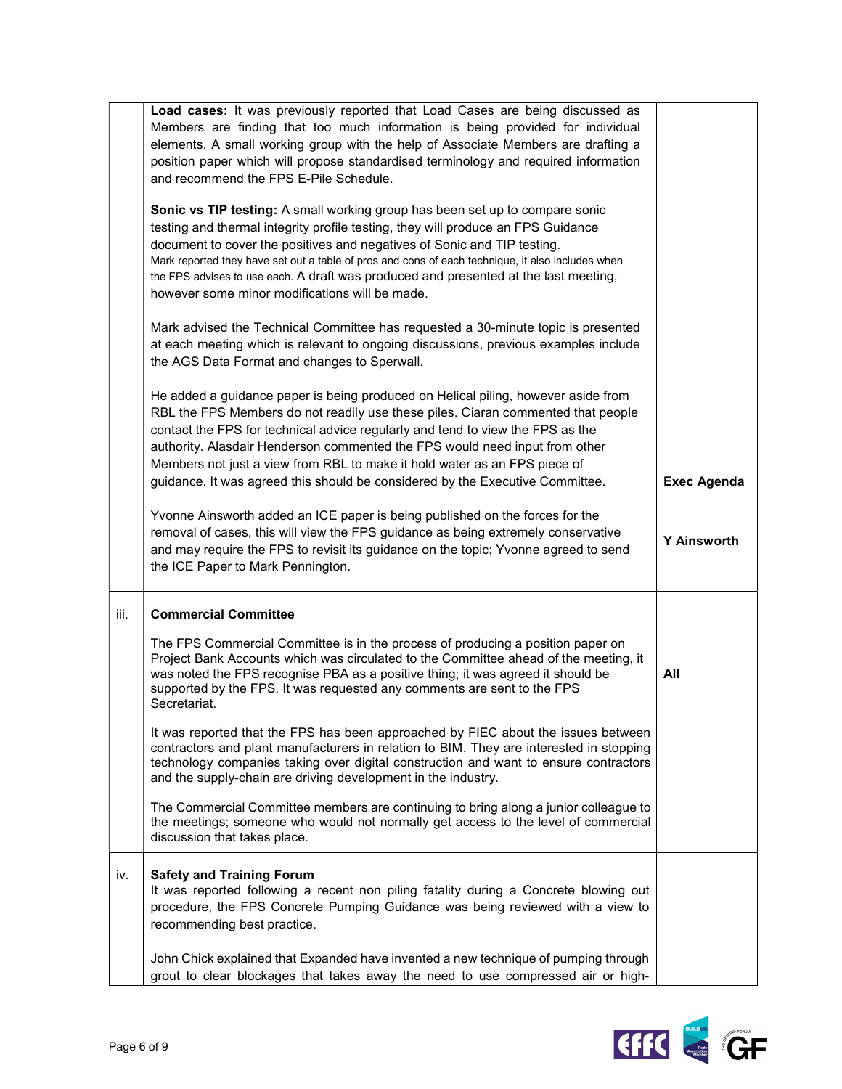|      | Load cases: It was previously reported that Load Cases are being discussed as<br>Members are finding that too much information is being provided for individual<br>elements. A small working group with the help of Associate Members are drafting a<br>position paper which will propose standardised terminology and required information<br>and recommend the FPS E-Pile Schedule.                                                                                                                |                    |
|------|------------------------------------------------------------------------------------------------------------------------------------------------------------------------------------------------------------------------------------------------------------------------------------------------------------------------------------------------------------------------------------------------------------------------------------------------------------------------------------------------------|--------------------|
|      | Sonic vs TIP testing: A small working group has been set up to compare sonic<br>testing and thermal integrity profile testing, they will produce an FPS Guidance<br>document to cover the positives and negatives of Sonic and TIP testing.<br>Mark reported they have set out a table of pros and cons of each technique, it also includes when<br>the FPS advises to use each. A draft was produced and presented at the last meeting,<br>however some minor modifications will be made.           |                    |
|      | Mark advised the Technical Committee has requested a 30-minute topic is presented<br>at each meeting which is relevant to ongoing discussions, previous examples include<br>the AGS Data Format and changes to Sperwall.                                                                                                                                                                                                                                                                             |                    |
|      | He added a guidance paper is being produced on Helical piling, however aside from<br>RBL the FPS Members do not readily use these piles. Ciaran commented that people<br>contact the FPS for technical advice regularly and tend to view the FPS as the<br>authority. Alasdair Henderson commented the FPS would need input from other<br>Members not just a view from RBL to make it hold water as an FPS piece of<br>guidance. It was agreed this should be considered by the Executive Committee. | <b>Exec Agenda</b> |
|      | Yvonne Ainsworth added an ICE paper is being published on the forces for the<br>removal of cases, this will view the FPS guidance as being extremely conservative<br>and may require the FPS to revisit its guidance on the topic; Yvonne agreed to send<br>the ICE Paper to Mark Pennington.                                                                                                                                                                                                        | <b>Y Ainsworth</b> |
| iii. | <b>Commercial Committee</b>                                                                                                                                                                                                                                                                                                                                                                                                                                                                          |                    |
|      | The FPS Commercial Committee is in the process of producing a position paper on<br>Project Bank Accounts which was circulated to the Committee ahead of the meeting, it<br>was noted the FPS recognise PBA as a positive thing; it was agreed it should be<br>supported by the FPS. It was requested any comments are sent to the FPS<br>Secretariat.                                                                                                                                                | All                |
|      | It was reported that the FPS has been approached by FIEC about the issues between<br>contractors and plant manufacturers in relation to BIM. They are interested in stopping<br>technology companies taking over digital construction and want to ensure contractors<br>and the supply-chain are driving development in the industry.                                                                                                                                                                |                    |
|      | The Commercial Committee members are continuing to bring along a junior colleague to<br>the meetings; someone who would not normally get access to the level of commercial<br>discussion that takes place.                                                                                                                                                                                                                                                                                           |                    |
| iv.  | <b>Safety and Training Forum</b><br>It was reported following a recent non piling fatality during a Concrete blowing out<br>procedure, the FPS Concrete Pumping Guidance was being reviewed with a view to<br>recommending best practice.                                                                                                                                                                                                                                                            |                    |
|      | John Chick explained that Expanded have invented a new technique of pumping through<br>grout to clear blockages that takes away the need to use compressed air or high-                                                                                                                                                                                                                                                                                                                              |                    |

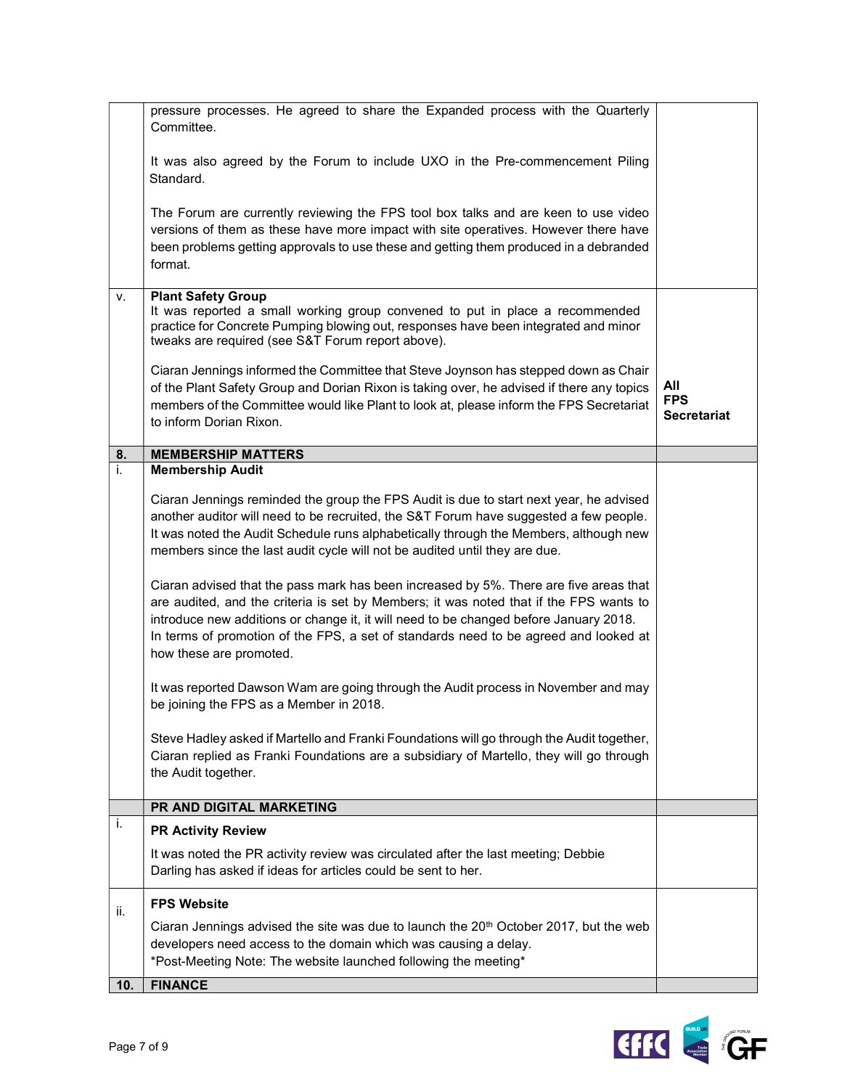|     | pressure processes. He agreed to share the Expanded process with the Quarterly<br>Committee.                                                                                                                                                                                                                                                                                                |                                         |
|-----|---------------------------------------------------------------------------------------------------------------------------------------------------------------------------------------------------------------------------------------------------------------------------------------------------------------------------------------------------------------------------------------------|-----------------------------------------|
|     | It was also agreed by the Forum to include UXO in the Pre-commencement Piling<br>Standard.                                                                                                                                                                                                                                                                                                  |                                         |
|     | The Forum are currently reviewing the FPS tool box talks and are keen to use video<br>versions of them as these have more impact with site operatives. However there have<br>been problems getting approvals to use these and getting them produced in a debranded<br>format.                                                                                                               |                                         |
| v.  | <b>Plant Safety Group</b><br>It was reported a small working group convened to put in place a recommended<br>practice for Concrete Pumping blowing out, responses have been integrated and minor<br>tweaks are required (see S&T Forum report above).                                                                                                                                       |                                         |
|     | Ciaran Jennings informed the Committee that Steve Joynson has stepped down as Chair<br>of the Plant Safety Group and Dorian Rixon is taking over, he advised if there any topics<br>members of the Committee would like Plant to look at, please inform the FPS Secretariat<br>to inform Dorian Rixon.                                                                                      | All<br><b>FPS</b><br><b>Secretariat</b> |
| 8.  | <b>MEMBERSHIP MATTERS</b>                                                                                                                                                                                                                                                                                                                                                                   |                                         |
| i.  | <b>Membership Audit</b>                                                                                                                                                                                                                                                                                                                                                                     |                                         |
|     | Ciaran Jennings reminded the group the FPS Audit is due to start next year, he advised<br>another auditor will need to be recruited, the S&T Forum have suggested a few people.<br>It was noted the Audit Schedule runs alphabetically through the Members, although new<br>members since the last audit cycle will not be audited until they are due.                                      |                                         |
|     | Ciaran advised that the pass mark has been increased by 5%. There are five areas that<br>are audited, and the criteria is set by Members; it was noted that if the FPS wants to<br>introduce new additions or change it, it will need to be changed before January 2018.<br>In terms of promotion of the FPS, a set of standards need to be agreed and looked at<br>how these are promoted. |                                         |
|     | It was reported Dawson Wam are going through the Audit process in November and may<br>be joining the FPS as a Member in 2018.                                                                                                                                                                                                                                                               |                                         |
|     | Steve Hadley asked if Martello and Franki Foundations will go through the Audit together,<br>Ciaran replied as Franki Foundations are a subsidiary of Martello, they will go through<br>the Audit together.                                                                                                                                                                                 |                                         |
|     | PR AND DIGITAL MARKETING                                                                                                                                                                                                                                                                                                                                                                    |                                         |
| i.  | <b>PR Activity Review</b>                                                                                                                                                                                                                                                                                                                                                                   |                                         |
|     | It was noted the PR activity review was circulated after the last meeting; Debbie<br>Darling has asked if ideas for articles could be sent to her.                                                                                                                                                                                                                                          |                                         |
| ii. | <b>FPS Website</b>                                                                                                                                                                                                                                                                                                                                                                          |                                         |
|     | Ciaran Jennings advised the site was due to launch the 20 <sup>th</sup> October 2017, but the web<br>developers need access to the domain which was causing a delay.<br>*Post-Meeting Note: The website launched following the meeting*                                                                                                                                                     |                                         |
| 10. | <b>FINANCE</b>                                                                                                                                                                                                                                                                                                                                                                              |                                         |

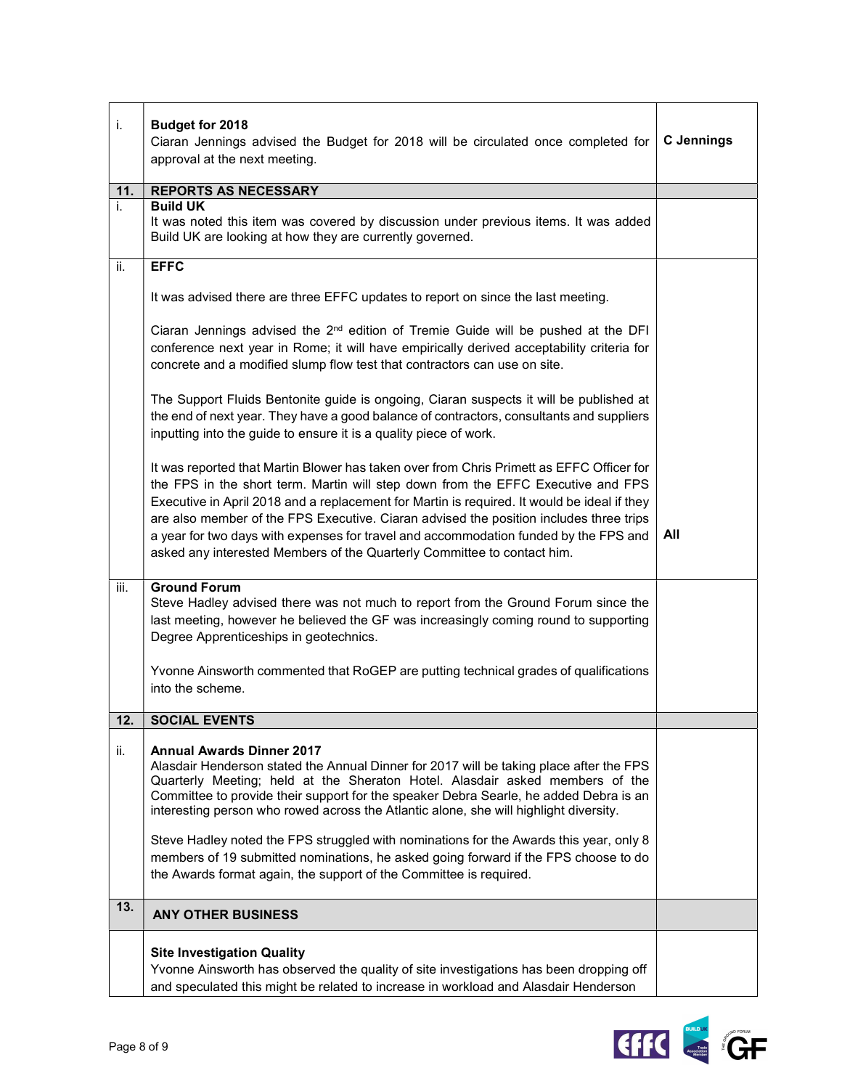| i.   | Budget for 2018                                                                                                                                                                                                                                                                                                                                                                                                                                                                                                                          |                   |
|------|------------------------------------------------------------------------------------------------------------------------------------------------------------------------------------------------------------------------------------------------------------------------------------------------------------------------------------------------------------------------------------------------------------------------------------------------------------------------------------------------------------------------------------------|-------------------|
|      | Ciaran Jennings advised the Budget for 2018 will be circulated once completed for                                                                                                                                                                                                                                                                                                                                                                                                                                                        | <b>C</b> Jennings |
|      | approval at the next meeting.                                                                                                                                                                                                                                                                                                                                                                                                                                                                                                            |                   |
| 11.  | <b>REPORTS AS NECESSARY</b>                                                                                                                                                                                                                                                                                                                                                                                                                                                                                                              |                   |
| i.   | <b>Build UK</b><br>It was noted this item was covered by discussion under previous items. It was added<br>Build UK are looking at how they are currently governed.                                                                                                                                                                                                                                                                                                                                                                       |                   |
| ii.  | <b>EFFC</b>                                                                                                                                                                                                                                                                                                                                                                                                                                                                                                                              |                   |
|      | It was advised there are three EFFC updates to report on since the last meeting.                                                                                                                                                                                                                                                                                                                                                                                                                                                         |                   |
|      | Ciaran Jennings advised the 2 <sup>nd</sup> edition of Tremie Guide will be pushed at the DFI<br>conference next year in Rome; it will have empirically derived acceptability criteria for<br>concrete and a modified slump flow test that contractors can use on site.                                                                                                                                                                                                                                                                  |                   |
|      | The Support Fluids Bentonite guide is ongoing, Ciaran suspects it will be published at<br>the end of next year. They have a good balance of contractors, consultants and suppliers<br>inputting into the guide to ensure it is a quality piece of work.                                                                                                                                                                                                                                                                                  |                   |
|      | It was reported that Martin Blower has taken over from Chris Primett as EFFC Officer for<br>the FPS in the short term. Martin will step down from the EFFC Executive and FPS<br>Executive in April 2018 and a replacement for Martin is required. It would be ideal if they<br>are also member of the FPS Executive. Ciaran advised the position includes three trips<br>a year for two days with expenses for travel and accommodation funded by the FPS and<br>asked any interested Members of the Quarterly Committee to contact him. | All               |
| iii. | <b>Ground Forum</b><br>Steve Hadley advised there was not much to report from the Ground Forum since the<br>last meeting, however he believed the GF was increasingly coming round to supporting<br>Degree Apprenticeships in geotechnics.                                                                                                                                                                                                                                                                                               |                   |
|      | Yvonne Ainsworth commented that RoGEP are putting technical grades of qualifications<br>into the scheme.                                                                                                                                                                                                                                                                                                                                                                                                                                 |                   |
| 12.  | <b>SOCIAL EVENTS</b>                                                                                                                                                                                                                                                                                                                                                                                                                                                                                                                     |                   |
| ii.  | <b>Annual Awards Dinner 2017</b><br>Alasdair Henderson stated the Annual Dinner for 2017 will be taking place after the FPS<br>Quarterly Meeting; held at the Sheraton Hotel. Alasdair asked members of the<br>Committee to provide their support for the speaker Debra Searle, he added Debra is an<br>interesting person who rowed across the Atlantic alone, she will highlight diversity.<br>Steve Hadley noted the FPS struggled with nominations for the Awards this year, only 8                                                  |                   |
| 13.  | members of 19 submitted nominations, he asked going forward if the FPS choose to do<br>the Awards format again, the support of the Committee is required.                                                                                                                                                                                                                                                                                                                                                                                |                   |
|      | <b>ANY OTHER BUSINESS</b>                                                                                                                                                                                                                                                                                                                                                                                                                                                                                                                |                   |
|      | <b>Site Investigation Quality</b><br>Yvonne Ainsworth has observed the quality of site investigations has been dropping off<br>and speculated this might be related to increase in workload and Alasdair Henderson                                                                                                                                                                                                                                                                                                                       |                   |